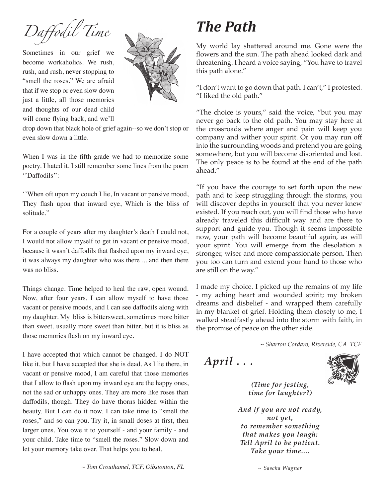*Daffodil Time* 

Sometimes in our grief we become workaholics. We rush, rush, and rush, never stopping to "smell the roses." We are afraid that if we stop or even slow down just a little, all those memories and thoughts of our dead child will come flying back, and we'll



drop down that black hole of grief again--so we don't stop or even slow down a little.

When I was in the fifth grade we had to memorize some poetry. I hated it. I still remember some lines from the poem ''Daffodils'':

''When oft upon my couch I lie, In vacant or pensive mood, They flash upon that inward eye, Which is the bliss of solitude."

For a couple of years after my daughter's death I could not, I would not allow myself to get in vacant or pensive mood, because it wasn't daffodils that flashed upon my inward eye, it was always my daughter who was there ... and then there was no bliss.

Things change. Time helped to heal the raw, open wound. Now, after four years, I can allow myself to have those vacant or pensive moods, and I can see daffodils along with my daughter. My bliss is bittersweet, sometimes more bitter than sweet, usually more sweet than bitter, but it is bliss as those memories flash on my inward eye.

I have accepted that which cannot be changed. I do NOT like it, but I have accepted that she is dead. As I lie there, in vacant or pensive mood, I am careful that those memories that I allow to flash upon my inward eye are the happy ones, not the sad or unhappy ones. They are more like roses than daffodils, though. They do have thorns hidden within the beauty. But I can do it now. I can take time to "smell the roses," and so can you. Try it, in small doses at first, then larger ones. You owe it to yourself - and your family - and your child. Take time to "smell the roses." Slow down and let your memory take over. That helps you to heal.

## *The Path*

My world lay shattered around me. Gone were the flowers and the sun. The path ahead looked dark and threatening. I heard a voice saying, "You have to travel this path alone."

"I don't want to go down that path. I can't," I protested. "I liked the old path."

"The choice is yours," said the voice, "but you may never go back to the old path. You may stay here at the crossroads where anger and pain will keep you company and wither your spirit. Or you may run off into the surrounding woods and pretend you are going somewhere, but you will become disoriented and lost. The only peace is to be found at the end of the path ahead."

"If you have the courage to set forth upon the new path and to keep struggling through the storms, you will discover depths in yourself that you never knew existed. If you reach out, you will find those who have already traveled this difficult way and are there to support and guide you. Though it seems impossible now, your path will become beautiful again, as will your spirit. You will emerge from the desolation a stronger, wiser and more compassionate person. Then you too can turn and extend your hand to those who are still on the way."

I made my choice. I picked up the remains of my life - my aching heart and wounded spirit; my broken dreams and disbelief - and wrapped them carefully in my blanket of grief. Holding them closely to me, I walked steadfastly ahead into the storm with faith, in the promise of peace on the other side.

 *~ Sharron Cordaro, Riverside, CA TCF*

*April . . .*



*(Time for jesting, time for laughter?)*

*And if you are not ready, not yet, to remember something that makes you laugh: Tell April to be patient. Take your time....*

*~ Sascha Wagner*